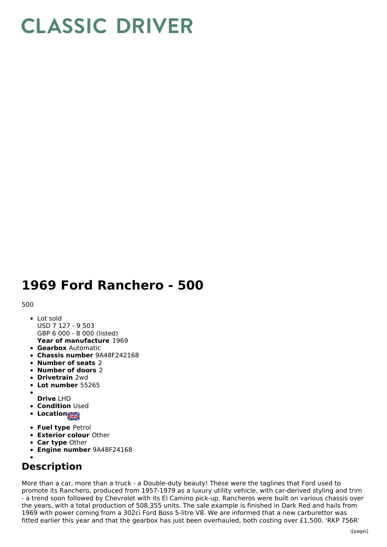## **CLASSIC DRIVER**

## **1969 Ford Ranchero - 500**

## 500

- **Year of manufacture** 1969 • Lot sold USD 7 127 - 9 503 GBP 6 000 - 8 000 (listed)
- **Gearbox** Automatic
- **Chassis number** 9A48F242168
- **Number of seats** 2
- **Number of doors** 2
- **Drivetrain** 2wd
- **Lot number** 55265
- 
- **Drive** LHD **• Condition Used**
- Location<sub>2</sub>
- **Fuel type** Petrol
- **Exterior colour** Other
- **Car type** Other
- **Engine number** 9A48F24168

## **Description**

More than a car, more than a truck - a Double-duty beauty! These were the taglines that Ford used to promote its Ranchero, produced from 1957-1979 as a luxury utility vehicle, with car-derived styling and trim - a trend soon followed by Chevrolet with its El Camino pick-up. Rancheros were built on various chassis over the years, with a total production of 508,355 units. The sale example is finished in Dark Red and hails from 1969 with power coming from a 302ci Ford Boss 5-litre V8. We are informed that a new carburettor was fitted earlier this year and that the gearbox has just been overhauled, both costing over £1,500. 'RKP 756R'